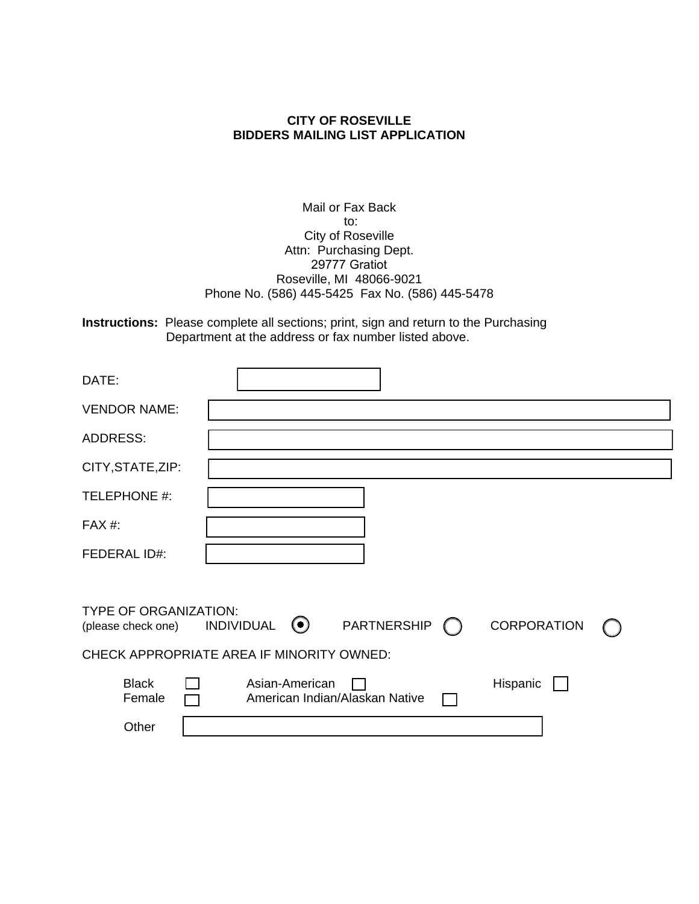## **CITY OF ROSEVILLE BIDDERS MAILING LIST APPLICATION**

Mail or Fax Back to: City of Roseville Attn: Purchasing Dept. 29777 Gratiot Roseville, MI 48066-9021 Phone No. (586) 445-5425 Fax No. (586) 445-5478

**Instructions:** Please complete all sections; print, sign and return to the Purchasing Department at the address or fax number listed above.

| DATE:                                              |                                                                                 |  |
|----------------------------------------------------|---------------------------------------------------------------------------------|--|
| <b>VENDOR NAME:</b>                                |                                                                                 |  |
| <b>ADDRESS:</b>                                    |                                                                                 |  |
| CITY, STATE, ZIP:                                  |                                                                                 |  |
| TELEPHONE #:                                       |                                                                                 |  |
| $FAX#$ :                                           |                                                                                 |  |
| <b>FEDERAL ID#:</b>                                |                                                                                 |  |
|                                                    |                                                                                 |  |
| <b>TYPE OF ORGANIZATION:</b><br>(please check one) | $\odot$<br>PARTNERSHIP<br>CORPORATION<br><b>INDIVIDUAL</b>                      |  |
| CHECK APPROPRIATE AREA IF MINORITY OWNED:          |                                                                                 |  |
| <b>Black</b><br>Female                             | Hispanic<br>Asian-American<br>American Indian/Alaskan Native<br><b>Contract</b> |  |
| Other                                              |                                                                                 |  |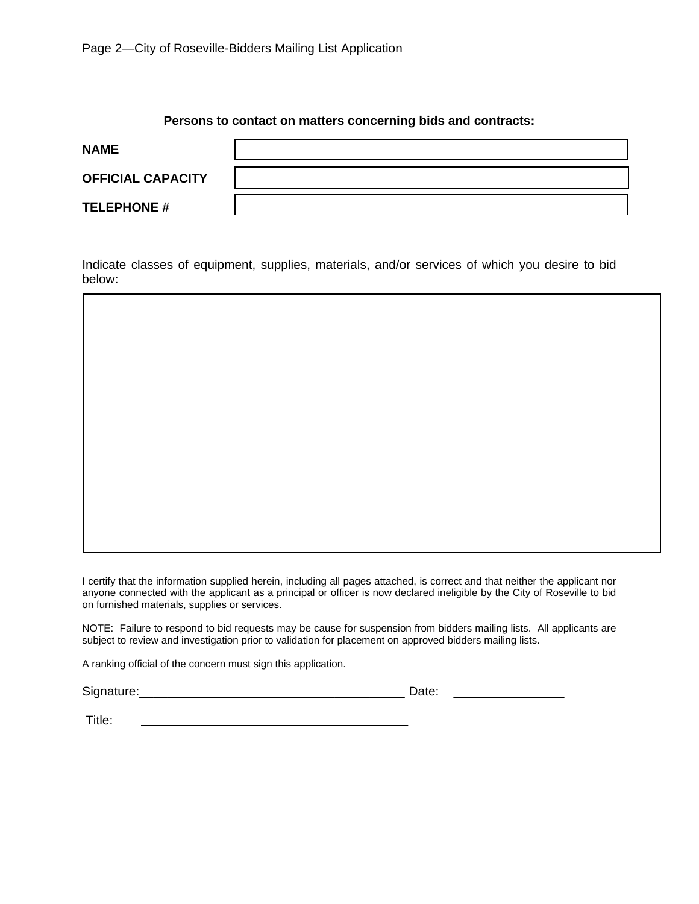## **Persons to contact on matters concerning bids and contracts:**

| <b>NAME</b>              |  |
|--------------------------|--|
| <b>OFFICIAL CAPACITY</b> |  |
| <b>TELEPHONE #</b>       |  |

Indicate classes of equipment, supplies, materials, and/or services of which you desire to bid below:



I certify that the information supplied herein, including all pages attached, is correct and that neither the applicant nor anyone connected with the applicant as a principal or officer is now declared ineligible by the City of Roseville to bid on furnished materials, supplies or services.

NOTE: Failure to respond to bid requests may be cause for suspension from bidders mailing lists. All applicants are subject to review and investigation prior to validation for placement on approved bidders mailing lists.

A ranking official of the concern must sign this application.

Signature:\_\_\_\_\_\_\_\_\_\_\_\_\_\_\_\_\_\_\_\_\_\_\_\_\_\_\_\_\_\_\_\_\_\_\_\_\_\_ Date:

Title: